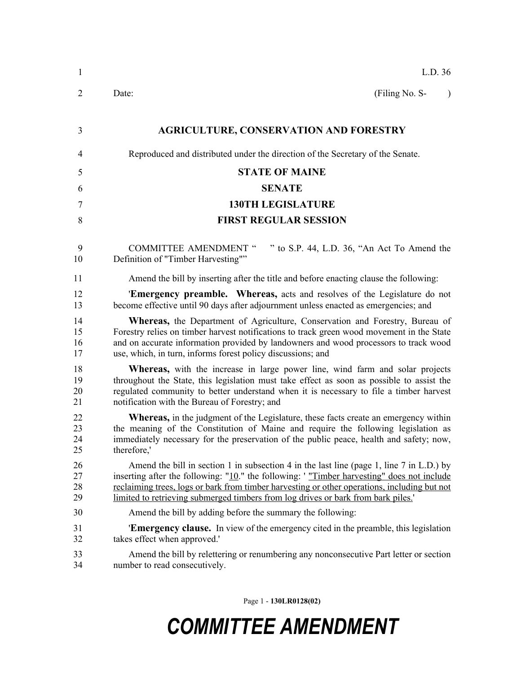| $\mathbf{1}$         | L.D. 36                                                                                                                                                                                                                                                                                                                                                                     |
|----------------------|-----------------------------------------------------------------------------------------------------------------------------------------------------------------------------------------------------------------------------------------------------------------------------------------------------------------------------------------------------------------------------|
| $\overline{2}$       | (Filing No. S-<br>Date:<br>$\lambda$                                                                                                                                                                                                                                                                                                                                        |
| 3                    | <b>AGRICULTURE, CONSERVATION AND FORESTRY</b>                                                                                                                                                                                                                                                                                                                               |
| $\overline{4}$       | Reproduced and distributed under the direction of the Secretary of the Senate.                                                                                                                                                                                                                                                                                              |
| 5                    | <b>STATE OF MAINE</b>                                                                                                                                                                                                                                                                                                                                                       |
| 6                    | <b>SENATE</b>                                                                                                                                                                                                                                                                                                                                                               |
| 7                    | <b>130TH LEGISLATURE</b>                                                                                                                                                                                                                                                                                                                                                    |
| 8                    | <b>FIRST REGULAR SESSION</b>                                                                                                                                                                                                                                                                                                                                                |
| 9<br>10              | <b>COMMITTEE AMENDMENT "</b><br>" to S.P. 44, L.D. 36, "An Act To Amend the<br>Definition of "Timber Harvesting""                                                                                                                                                                                                                                                           |
| 11                   | Amend the bill by inserting after the title and before enacting clause the following:                                                                                                                                                                                                                                                                                       |
| 12<br>13             | <b>Emergency preamble.</b> Whereas, acts and resolves of the Legislature do not<br>become effective until 90 days after adjournment unless enacted as emergencies; and                                                                                                                                                                                                      |
| 14<br>15<br>16<br>17 | Whereas, the Department of Agriculture, Conservation and Forestry, Bureau of<br>Forestry relies on timber harvest notifications to track green wood movement in the State<br>and on accurate information provided by landowners and wood processors to track wood<br>use, which, in turn, informs forest policy discussions; and                                            |
| 18<br>19<br>20<br>21 | <b>Whereas</b> , with the increase in large power line, wind farm and solar projects<br>throughout the State, this legislation must take effect as soon as possible to assist the<br>regulated community to better understand when it is necessary to file a timber harvest<br>notification with the Bureau of Forestry; and                                                |
| 22<br>23<br>24<br>25 | <b>Whereas,</b> in the judgment of the Legislature, these facts create an emergency within<br>the meaning of the Constitution of Maine and require the following legislation as<br>immediately necessary for the preservation of the public peace, health and safety; now,<br>therefore,'                                                                                   |
| 26<br>27<br>28<br>29 | Amend the bill in section 1 in subsection 4 in the last line (page 1, line 7 in L.D.) by<br>inserting after the following: "10." the following: ' "Timber harvesting" does not include<br>reclaiming trees, logs or bark from timber harvesting or other operations, including but not<br>limited to retrieving submerged timbers from log drives or bark from bark piles.' |
| 30                   | Amend the bill by adding before the summary the following:                                                                                                                                                                                                                                                                                                                  |
| 31<br>32             | <b>Emergency clause.</b> In view of the emergency cited in the preamble, this legislation<br>takes effect when approved."                                                                                                                                                                                                                                                   |
| 33                   | Amend the bill by relettering or renumbering any nonconsecutive Part letter or section<br>number to read consecutively.                                                                                                                                                                                                                                                     |
| 34                   |                                                                                                                                                                                                                                                                                                                                                                             |

Page 1 - **130LR0128(02)**

## *COMMITTEE AMENDMENT*